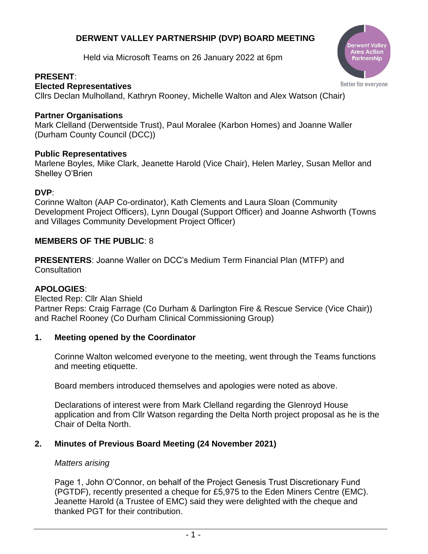# **DERWENT VALLEY PARTNERSHIP (DVP) BOARD MEETING**

Held via Microsoft Teams on 26 January 2022 at 6pm

# **PRESENT**:

**Elected Representatives**

Cllrs Declan Mulholland, Kathryn Rooney, Michelle Walton and Alex Watson (Chair)

# **Partner Organisations**

Mark Clelland (Derwentside Trust), Paul Moralee (Karbon Homes) and Joanne Waller (Durham County Council (DCC))

# **Public Representatives**

Marlene Boyles, Mike Clark, Jeanette Harold (Vice Chair), Helen Marley, Susan Mellor and Shelley O'Brien

# **DVP**:

Corinne Walton (AAP Co-ordinator), Kath Clements and Laura Sloan (Community Development Project Officers), Lynn Dougal (Support Officer) and Joanne Ashworth (Towns and Villages Community Development Project Officer)

# **MEMBERS OF THE PUBLIC**: 8

**PRESENTERS**: Joanne Waller on DCC's Medium Term Financial Plan (MTFP) and **Consultation** 

## **APOLOGIES**:

Elected Rep: Cllr Alan Shield Partner Reps: Craig Farrage (Co Durham & Darlington Fire & Rescue Service (Vice Chair)) and Rachel Rooney (Co Durham Clinical Commissioning Group)

## **1. Meeting opened by the Coordinator**

Corinne Walton welcomed everyone to the meeting, went through the Teams functions and meeting etiquette.

Board members introduced themselves and apologies were noted as above.

Declarations of interest were from Mark Clelland regarding the Glenroyd House application and from Cllr Watson regarding the Delta North project proposal as he is the Chair of Delta North.

# **2. Minutes of Previous Board Meeting (24 November 2021)**

## *Matters arising*

Page 1, John O'Connor, on behalf of the Project Genesis Trust Discretionary Fund (PGTDF), recently presented a cheque for £5,975 to the Eden Miners Centre (EMC). Jeanette Harold (a Trustee of EMC) said they were delighted with the cheque and thanked PGT for their contribution.



Better for everyone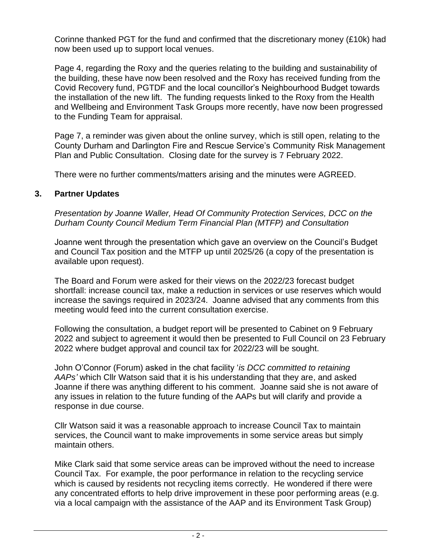Corinne thanked PGT for the fund and confirmed that the discretionary money (£10k) had now been used up to support local venues.

Page 4, regarding the Roxy and the queries relating to the building and sustainability of the building, these have now been resolved and the Roxy has received funding from the Covid Recovery fund, PGTDF and the local councillor's Neighbourhood Budget towards the installation of the new lift. The funding requests linked to the Roxy from the Health and Wellbeing and Environment Task Groups more recently, have now been progressed to the Funding Team for appraisal.

Page 7, a reminder was given about the online survey, which is still open, relating to the County Durham and Darlington Fire and Rescue Service's Community Risk Management Plan and Public Consultation. Closing date for the survey is 7 February 2022.

There were no further comments/matters arising and the minutes were AGREED.

## **3. Partner Updates**

*Presentation by Joanne Waller, Head Of Community Protection Services, DCC on the Durham County Council Medium Term Financial Plan (MTFP) and Consultation*

Joanne went through the presentation which gave an overview on the Council's Budget and Council Tax position and the MTFP up until 2025/26 (a copy of the presentation is available upon request).

The Board and Forum were asked for their views on the 2022/23 forecast budget shortfall: increase council tax, make a reduction in services or use reserves which would increase the savings required in 2023/24. Joanne advised that any comments from this meeting would feed into the current consultation exercise.

Following the consultation, a budget report will be presented to Cabinet on 9 February 2022 and subject to agreement it would then be presented to Full Council on 23 February 2022 where budget approval and council tax for 2022/23 will be sought.

John O'Connor (Forum) asked in the chat facility '*is DCC committed to retaining AAPs'* which Cllr Watson said that it is his understanding that they are, and asked Joanne if there was anything different to his comment. Joanne said she is not aware of any issues in relation to the future funding of the AAPs but will clarify and provide a response in due course.

Cllr Watson said it was a reasonable approach to increase Council Tax to maintain services, the Council want to make improvements in some service areas but simply maintain others.

Mike Clark said that some service areas can be improved without the need to increase Council Tax. For example, the poor performance in relation to the recycling service which is caused by residents not recycling items correctly. He wondered if there were any concentrated efforts to help drive improvement in these poor performing areas (e.g. via a local campaign with the assistance of the AAP and its Environment Task Group)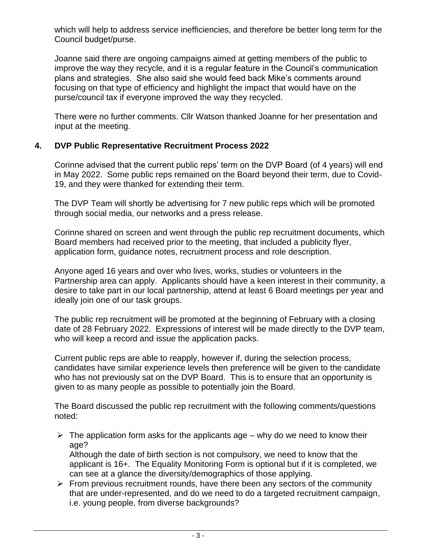which will help to address service inefficiencies, and therefore be better long term for the Council budget/purse.

Joanne said there are ongoing campaigns aimed at getting members of the public to improve the way they recycle, and it is a regular feature in the Council's communication plans and strategies. She also said she would feed back Mike's comments around focusing on that type of efficiency and highlight the impact that would have on the purse/council tax if everyone improved the way they recycled.

There were no further comments. Cllr Watson thanked Joanne for her presentation and input at the meeting.

## **4. DVP Public Representative Recruitment Process 2022**

Corinne advised that the current public reps' term on the DVP Board (of 4 years) will end in May 2022. Some public reps remained on the Board beyond their term, due to Covid-19, and they were thanked for extending their term.

The DVP Team will shortly be advertising for 7 new public reps which will be promoted through social media, our networks and a press release.

Corinne shared on screen and went through the public rep recruitment documents, which Board members had received prior to the meeting, that included a publicity flyer, application form, guidance notes, recruitment process and role description.

Anyone aged 16 years and over who lives, works, studies or volunteers in the Partnership area can apply. Applicants should have a keen interest in their community, a desire to take part in our local partnership, attend at least 6 Board meetings per year and ideally join one of our task groups.

The public rep recruitment will be promoted at the beginning of February with a closing date of 28 February 2022. Expressions of interest will be made directly to the DVP team, who will keep a record and issue the application packs.

Current public reps are able to reapply, however if, during the selection process, candidates have similar experience levels then preference will be given to the candidate who has not previously sat on the DVP Board. This is to ensure that an opportunity is given to as many people as possible to potentially join the Board.

The Board discussed the public rep recruitment with the following comments/questions noted:

 $\triangleright$  The application form asks for the applicants age – why do we need to know their age?

Although the date of birth section is not compulsory, we need to know that the applicant is 16+. The Equality Monitoring Form is optional but if it is completed, we can see at a glance the diversity/demographics of those applying.

 $\triangleright$  From previous recruitment rounds, have there been any sectors of the community that are under-represented, and do we need to do a targeted recruitment campaign, i.e. young people, from diverse backgrounds?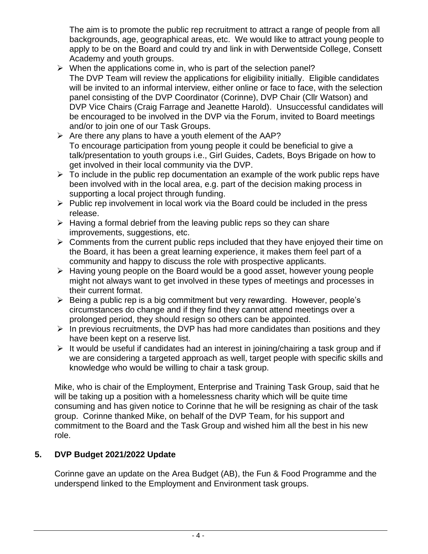The aim is to promote the public rep recruitment to attract a range of people from all backgrounds, age, geographical areas, etc. We would like to attract young people to apply to be on the Board and could try and link in with Derwentside College, Consett Academy and youth groups.

- $\triangleright$  When the applications come in, who is part of the selection panel? The DVP Team will review the applications for eligibility initially. Eligible candidates will be invited to an informal interview, either online or face to face, with the selection panel consisting of the DVP Coordinator (Corinne), DVP Chair (Cllr Watson) and DVP Vice Chairs (Craig Farrage and Jeanette Harold). Unsuccessful candidates will be encouraged to be involved in the DVP via the Forum, invited to Board meetings and/or to join one of our Task Groups.
- $\triangleright$  Are there any plans to have a youth element of the AAP? To encourage participation from young people it could be beneficial to give a talk/presentation to youth groups i.e., Girl Guides, Cadets, Boys Brigade on how to get involved in their local community via the DVP.
- $\triangleright$  To include in the public rep documentation an example of the work public reps have been involved with in the local area, e.g. part of the decision making process in supporting a local project through funding.
- $\triangleright$  Public rep involvement in local work via the Board could be included in the press release.
- $\triangleright$  Having a formal debrief from the leaving public reps so they can share improvements, suggestions, etc.
- $\triangleright$  Comments from the current public reps included that they have enjoyed their time on the Board, it has been a great learning experience, it makes them feel part of a community and happy to discuss the role with prospective applicants.
- ➢ Having young people on the Board would be a good asset, however young people might not always want to get involved in these types of meetings and processes in their current format.
- ➢ Being a public rep is a big commitment but very rewarding. However, people's circumstances do change and if they find they cannot attend meetings over a prolonged period, they should resign so others can be appointed.
- $\triangleright$  In previous recruitments, the DVP has had more candidates than positions and they have been kept on a reserve list.
- $\triangleright$  It would be useful if candidates had an interest in joining/chairing a task group and if we are considering a targeted approach as well, target people with specific skills and knowledge who would be willing to chair a task group.

Mike, who is chair of the Employment, Enterprise and Training Task Group, said that he will be taking up a position with a homelessness charity which will be quite time consuming and has given notice to Corinne that he will be resigning as chair of the task group. Corinne thanked Mike, on behalf of the DVP Team, for his support and commitment to the Board and the Task Group and wished him all the best in his new role.

# **5. DVP Budget 2021/2022 Update**

Corinne gave an update on the Area Budget (AB), the Fun & Food Programme and the underspend linked to the Employment and Environment task groups.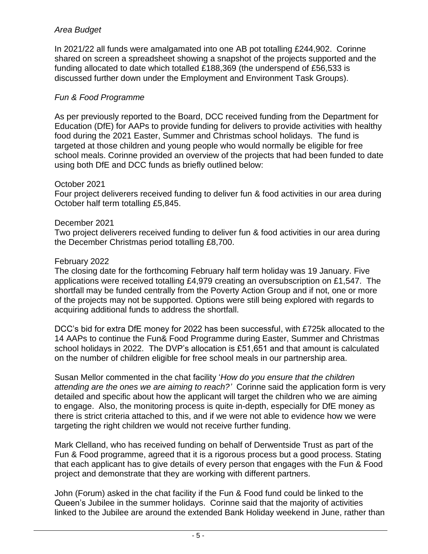## *Area Budget*

In 2021/22 all funds were amalgamated into one AB pot totalling £244,902. Corinne shared on screen a spreadsheet showing a snapshot of the projects supported and the funding allocated to date which totalled £188,369 (the underspend of £56,533 is discussed further down under the Employment and Environment Task Groups).

## *Fun & Food Programme*

As per previously reported to the Board, DCC received funding from the Department for Education (DfE) for AAPs to provide funding for delivers to provide activities with healthy food during the 2021 Easter, Summer and Christmas school holidays. The fund is targeted at those children and young people who would normally be eligible for free school meals. Corinne provided an overview of the projects that had been funded to date using both DfE and DCC funds as briefly outlined below:

#### October 2021

Four project deliverers received funding to deliver fun & food activities in our area during October half term totalling £5,845.

#### December 2021

Two project deliverers received funding to deliver fun & food activities in our area during the December Christmas period totalling £8,700.

#### February 2022

The closing date for the forthcoming February half term holiday was 19 January. Five applications were received totalling £4,979 creating an oversubscription on £1,547. The shortfall may be funded centrally from the Poverty Action Group and if not, one or more of the projects may not be supported. Options were still being explored with regards to acquiring additional funds to address the shortfall.

DCC's bid for extra DfE money for 2022 has been successful, with £725k allocated to the 14 AAPs to continue the Fun& Food Programme during Easter, Summer and Christmas school holidays in 2022. The DVP's allocation is £51,651 and that amount is calculated on the number of children eligible for free school meals in our partnership area.

Susan Mellor commented in the chat facility '*How do you ensure that the children attending are the ones we are aiming to reach?'* Corinne said the application form is very detailed and specific about how the applicant will target the children who we are aiming to engage. Also, the monitoring process is quite in-depth, especially for DfE money as there is strict criteria attached to this, and if we were not able to evidence how we were targeting the right children we would not receive further funding.

Mark Clelland, who has received funding on behalf of Derwentside Trust as part of the Fun & Food programme, agreed that it is a rigorous process but a good process. Stating that each applicant has to give details of every person that engages with the Fun & Food project and demonstrate that they are working with different partners.

John (Forum) asked in the chat facility if the Fun & Food fund could be linked to the Queen's Jubilee in the summer holidays. Corinne said that the majority of activities linked to the Jubilee are around the extended Bank Holiday weekend in June, rather than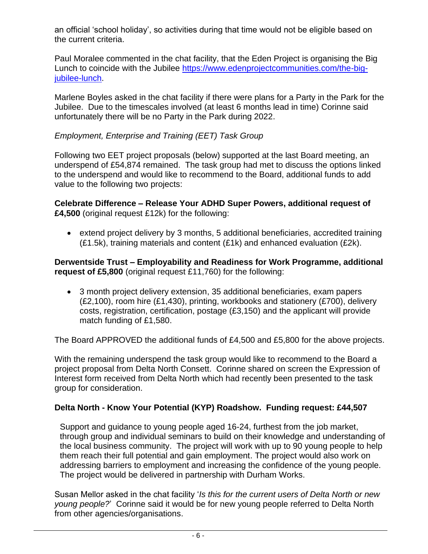an official 'school holiday', so activities during that time would not be eligible based on the current criteria.

Paul Moralee commented in the chat facility, that the Eden Project is organising the Big Lunch to coincide with the Jubilee [https://www.edenprojectcommunities.com/the-big](https://www.edenprojectcommunities.com/the-big-jubilee-lunch)[jubilee-lunch.](https://www.edenprojectcommunities.com/the-big-jubilee-lunch)

Marlene Boyles asked in the chat facility if there were plans for a Party in the Park for the Jubilee. Due to the timescales involved (at least 6 months lead in time) Corinne said unfortunately there will be no Party in the Park during 2022.

# *Employment, Enterprise and Training (EET) Task Group*

Following two EET project proposals (below) supported at the last Board meeting, an underspend of £54,874 remained. The task group had met to discuss the options linked to the underspend and would like to recommend to the Board, additional funds to add value to the following two projects:

**Celebrate Difference – Release Your ADHD Super Powers, additional request of £4,500** (original request £12k) for the following:

• extend project delivery by 3 months, 5 additional beneficiaries, accredited training (£1.5k), training materials and content (£1k) and enhanced evaluation (£2k).

**Derwentside Trust – Employability and Readiness for Work Programme, additional request of £5,800** (original request £11,760) for the following:

• 3 month project delivery extension, 35 additional beneficiaries, exam papers (£2,100), room hire (£1,430), printing, workbooks and stationery (£700), delivery costs, registration, certification, postage (£3,150) and the applicant will provide match funding of £1,580.

The Board APPROVED the additional funds of £4,500 and £5,800 for the above projects.

With the remaining underspend the task group would like to recommend to the Board a project proposal from Delta North Consett. Corinne shared on screen the Expression of Interest form received from Delta North which had recently been presented to the task group for consideration.

## **Delta North - Know Your Potential (KYP) Roadshow. Funding request: £44,507**

Support and guidance to young people aged 16-24, furthest from the job market, through group and individual seminars to build on their knowledge and understanding of the local business community. The project will work with up to 90 young people to help them reach their full potential and gain employment. The project would also work on addressing barriers to employment and increasing the confidence of the young people. The project would be delivered in partnership with Durham Works.

Susan Mellor asked in the chat facility '*Is this for the current users of Delta North or new young people?*' Corinne said it would be for new young people referred to Delta North from other agencies/organisations.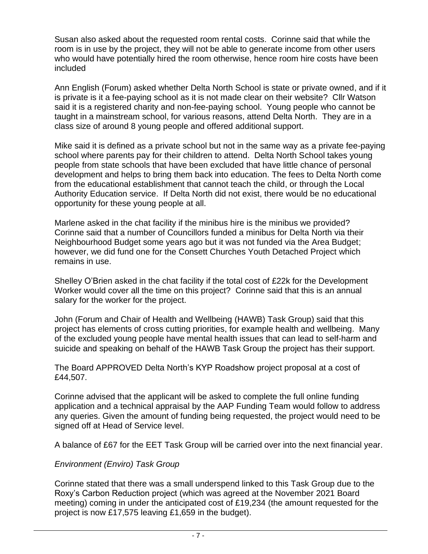Susan also asked about the requested room rental costs. Corinne said that while the room is in use by the project, they will not be able to generate income from other users who would have potentially hired the room otherwise, hence room hire costs have been included

Ann English (Forum) asked whether Delta North School is state or private owned, and if it is private is it a fee-paying school as it is not made clear on their website? Cllr Watson said it is a registered charity and non-fee-paying school. Young people who cannot be taught in a mainstream school, for various reasons, attend Delta North. They are in a class size of around 8 young people and offered additional support.

Mike said it is defined as a private school but not in the same way as a private fee-paying school where parents pay for their children to attend. Delta North School takes young people from state schools that have been excluded that have little chance of personal development and helps to bring them back into education. The fees to Delta North come from the educational establishment that cannot teach the child, or through the Local Authority Education service. If Delta North did not exist, there would be no educational opportunity for these young people at all.

Marlene asked in the chat facility if the minibus hire is the minibus we provided? Corinne said that a number of Councillors funded a minibus for Delta North via their Neighbourhood Budget some years ago but it was not funded via the Area Budget; however, we did fund one for the Consett Churches Youth Detached Project which remains in use.

Shelley O'Brien asked in the chat facility if the total cost of £22k for the Development Worker would cover all the time on this project? Corinne said that this is an annual salary for the worker for the project.

John (Forum and Chair of Health and Wellbeing (HAWB) Task Group) said that this project has elements of cross cutting priorities, for example health and wellbeing. Many of the excluded young people have mental health issues that can lead to self-harm and suicide and speaking on behalf of the HAWB Task Group the project has their support.

The Board APPROVED Delta North's KYP Roadshow project proposal at a cost of £44,507.

Corinne advised that the applicant will be asked to complete the full online funding application and a technical appraisal by the AAP Funding Team would follow to address any queries. Given the amount of funding being requested, the project would need to be signed off at Head of Service level.

A balance of £67 for the EET Task Group will be carried over into the next financial year.

## *Environment (Enviro) Task Group*

Corinne stated that there was a small underspend linked to this Task Group due to the Roxy's Carbon Reduction project (which was agreed at the November 2021 Board meeting) coming in under the anticipated cost of £19,234 (the amount requested for the project is now £17,575 leaving £1,659 in the budget).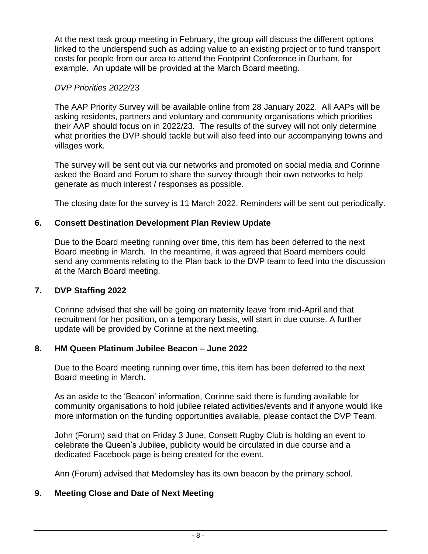At the next task group meeting in February, the group will discuss the different options linked to the underspend such as adding value to an existing project or to fund transport costs for people from our area to attend the Footprint Conference in Durham, for example. An update will be provided at the March Board meeting.

## *DVP Priorities 2022/*23

The AAP Priority Survey will be available online from 28 January 2022. All AAPs will be asking residents, partners and voluntary and community organisations which priorities their AAP should focus on in 2022/23. The results of the survey will not only determine what priorities the DVP should tackle but will also feed into our accompanying towns and villages work.

The survey will be sent out via our networks and promoted on social media and Corinne asked the Board and Forum to share the survey through their own networks to help generate as much interest / responses as possible.

The closing date for the survey is 11 March 2022. Reminders will be sent out periodically.

#### **6. Consett Destination Development Plan Review Update**

Due to the Board meeting running over time, this item has been deferred to the next Board meeting in March. In the meantime, it was agreed that Board members could send any comments relating to the Plan back to the DVP team to feed into the discussion at the March Board meeting.

#### **7. DVP Staffing 2022**

Corinne advised that she will be going on maternity leave from mid-April and that recruitment for her position, on a temporary basis, will start in due course. A further update will be provided by Corinne at the next meeting.

#### **8. HM Queen Platinum Jubilee Beacon – June 2022**

Due to the Board meeting running over time, this item has been deferred to the next Board meeting in March.

As an aside to the 'Beacon' information, Corinne said there is funding available for community organisations to hold jubilee related activities/events and if anyone would like more information on the funding opportunities available, please contact the DVP Team.

John (Forum) said that on Friday 3 June, Consett Rugby Club is holding an event to celebrate the Queen's Jubilee, publicity would be circulated in due course and a dedicated Facebook page is being created for the event.

Ann (Forum) advised that Medomsley has its own beacon by the primary school.

## **9. Meeting Close and Date of Next Meeting**